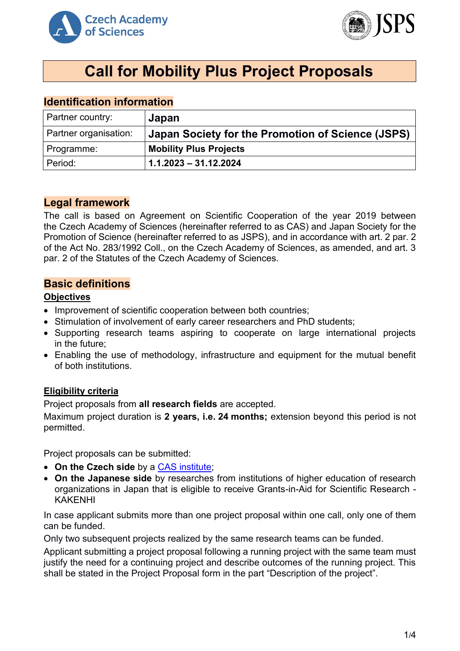



# **Call for Mobility Plus Project Proposals**

## **Identification information**

| Partner country:      | Japan                                             |
|-----------------------|---------------------------------------------------|
| Partner organisation: | Japan Society for the Promotion of Science (JSPS) |
| Programme:            | <b>Mobility Plus Projects</b>                     |
| Period:               | $1.1.2023 - 31.12.2024$                           |

### **Legal framework**

The call is based on Agreement on Scientific Cooperation of the year 2019 between the Czech Academy of Sciences (hereinafter referred to as CAS) and Japan Society for the Promotion of Science (hereinafter referred to as JSPS), and in accordance with art. 2 par. 2 of the Act No. 283/1992 Coll., on the Czech Academy of Sciences, as amended, and art. 3 par. 2 of the Statutes of the Czech Academy of Sciences.

#### **Basic definitions**

#### **Objectives**

- Improvement of scientific cooperation between both countries;
- Stimulation of involvement of early career researchers and PhD students;
- Supporting research teams aspiring to cooperate on large international projects in the future;
- Enabling the use of methodology, infrastructure and equipment for the mutual benefit of both institutions.

#### **Eligibility criteria**

Project proposals from **all research fields** are accepted.

Maximum project duration is **2 years, i.e. 24 months;** extension beyond this period is not permitted.

Project proposals can be submitted:

- **On the Czech side** by a [CAS institute;](http://www.avcr.cz/en/about-us/cas-structure/research-institutes/)
- **On the Japanese side** by researches from institutions of higher education of research organizations in Japan that is eligible to receive Grants-in-Aid for Scientific Research - KAKENHI

In case applicant submits more than one project proposal within one call, only one of them can be funded.

Only two subsequent projects realized by the same research teams can be funded.

Applicant submitting a project proposal following a running project with the same team must justify the need for a continuing project and describe outcomes of the running project. This shall be stated in the Project Proposal form in the part "Description of the project".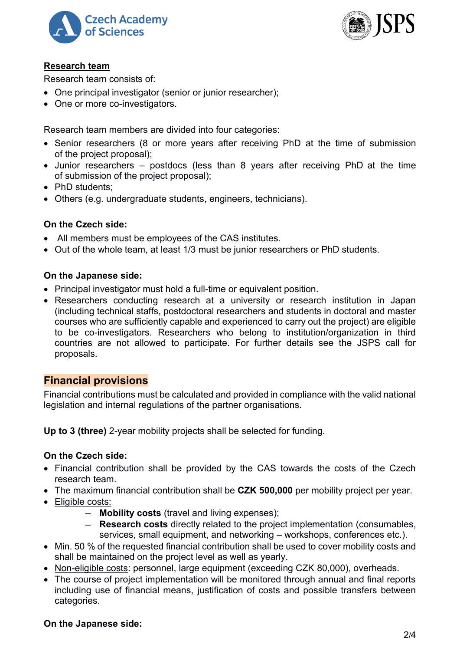



#### **Research team**

Research team consists of:

- One principal investigator (senior or junior researcher);
- One or more co-investigators.

Research team members are divided into four categories:

- Senior researchers (8 or more years after receiving PhD at the time of submission of the project proposal);
- Junior researchers postdocs (less than 8 years after receiving PhD at the time of submission of the project proposal);
- PhD students:
- Others (e.g. undergraduate students, engineers, technicians).

#### **On the Czech side:**

- All members must be employees of the CAS institutes.
- Out of the whole team, at least 1/3 must be junior researchers or PhD students.

#### **On the Japanese side:**

- Principal investigator must hold a full-time or equivalent position.
- Researchers conducting research at a university or research institution in Japan (including technical staffs, postdoctoral researchers and students in doctoral and master courses who are sufficiently capable and experienced to carry out the project) are eligible to be co-investigators. Researchers who belong to institution/organization in third countries are not allowed to participate. For further details see the JSPS call for proposals.

#### **Financial provisions**

Financial contributions must be calculated and provided in compliance with the valid national legislation and internal regulations of the partner organisations.

**Up to 3 (three)** 2-year mobility projects shall be selected for funding.

#### **On the Czech side:**

- Financial contribution shall be provided by the CAS towards the costs of the Czech research team.
- The maximum financial contribution shall be **CZK 500,000** per mobility project per year.
- Eligible costs:
	- − **Mobility costs** (travel and living expenses);
	- − **Research costs** directly related to the project implementation (consumables, services, small equipment, and networking – workshops, conferences etc.).
- Min. 50 % of the requested financial contribution shall be used to cover mobility costs and shall be maintained on the project level as well as yearly.
- Non-eligible costs: personnel, large equipment (exceeding CZK 80,000), overheads.
- The course of project implementation will be monitored through annual and final reports including use of financial means, justification of costs and possible transfers between categories.

#### **On the Japanese side:**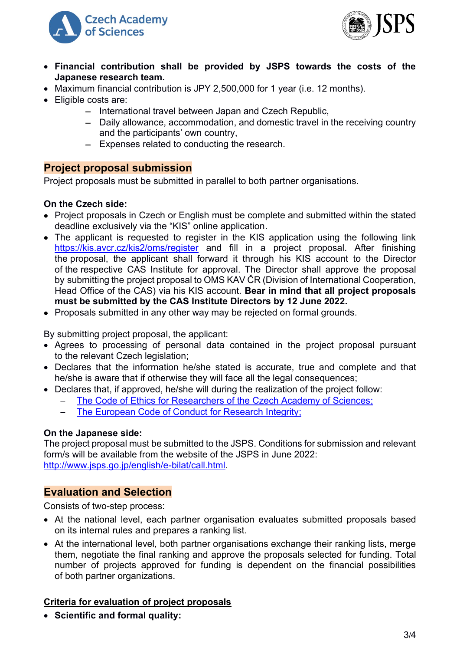



- **Financial contribution shall be provided by JSPS towards the costs of the Japanese research team.**
- Maximum financial contribution is JPY 2,500,000 for 1 year (i.e. 12 months).
- Eligible costs are:
	- − International travel between Japan and Czech Republic,
	- − Daily allowance, accommodation, and domestic travel in the receiving country and the participants' own country,
	- − Expenses related to conducting the research.

#### **Project proposal submission**

Project proposals must be submitted in parallel to both partner organisations.

#### **On the Czech side:**

- Project proposals in Czech or English must be complete and submitted within the stated deadline exclusively via the "KIS" online application.
- The applicant is requested to register in the KIS application using the following link <https://kis.avcr.cz/kis2/oms/register> and fill in a project proposal. After finishing the proposal, the applicant shall forward it through his KIS account to the Director of the respective CAS Institute for approval. The Director shall approve the proposal by submitting the project proposal to OMS KAV ČR (Division of International Cooperation, Head Office of the CAS) via his KIS account. **Bear in mind that all project proposals must be submitted by the CAS Institute Directors by 12 June 2022.**
- Proposals submitted in any other way may be rejected on formal grounds.

By submitting project proposal, the applicant:

- Agrees to processing of personal data contained in the project proposal pursuant to the relevant Czech legislation;
- Declares that the information he/she stated is accurate, true and complete and that he/she is aware that if otherwise they will face all the legal consequences:
- Declares that, if approved, he/she will during the realization of the project follow:
	- The Code of Ethics for Researchers of [the Czech Academy of Sciences;](https://www.avcr.cz/en/about-us/legal-regulations/code-of-ethics-for-researchers-of-the-czech-academy-of-sciences/)
	- − [The European Code of Conduct for Research Integrity;](http://www.allea.org/wp-content/uploads/2017/05/ALLEA-European-Code-of-Conduct-for-Research-Integrity-2017.pdf)

#### **On the Japanese side:**

The project proposal must be submitted to the JSPS. Conditions for submission and relevant form/s will be available from the website of the JSPS in June 2022: [http://www.jsps.go.jp/english/e-bilat/call.html.](http://www.jsps.go.jp/english/e-bilat/call.html)

#### **Evaluation and Selection**

Consists of two-step process:

- At the national level, each partner organisation evaluates submitted proposals based on its internal rules and prepares a ranking list.
- At the international level, both partner organisations exchange their ranking lists, merge them, negotiate the final ranking and approve the proposals selected for funding. Total number of projects approved for funding is dependent on the financial possibilities of both partner organizations.

#### **Criteria for evaluation of project proposals**

• **Scientific and formal quality:**